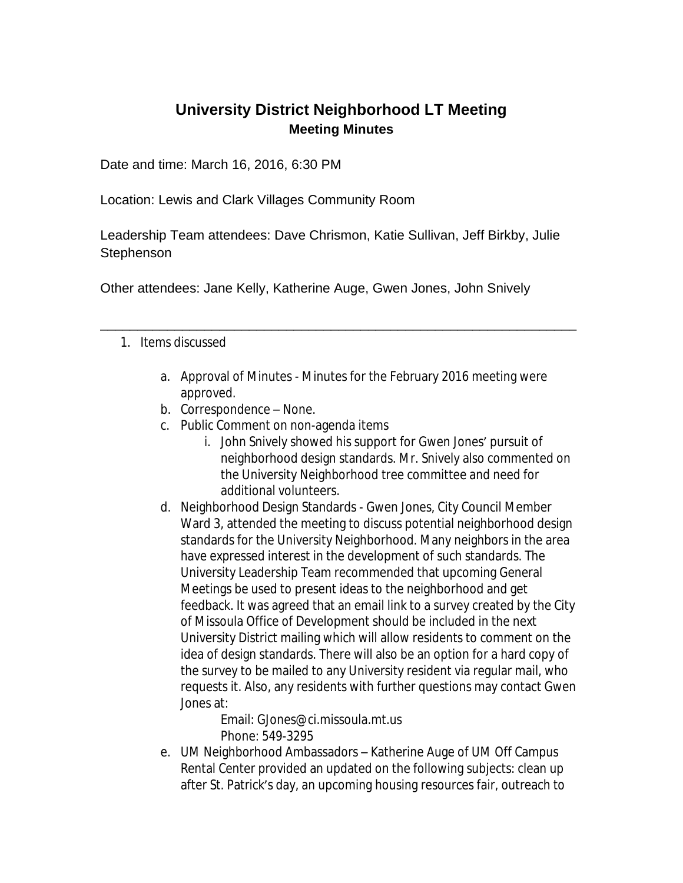## **University District Neighborhood LT Meeting Meeting Minutes**

Date and time: March 16, 2016, 6:30 PM

Location: Lewis and Clark Villages Community Room

Leadership Team attendees: Dave Chrismon, Katie Sullivan, Jeff Birkby, Julie **Stephenson** 

\_\_\_\_\_\_\_\_\_\_\_\_\_\_\_\_\_\_\_\_\_\_\_\_\_\_\_\_\_\_\_\_\_\_\_\_\_\_\_\_\_\_\_\_\_\_\_\_\_\_\_\_\_\_\_\_\_\_\_\_\_\_\_\_

Other attendees: Jane Kelly, Katherine Auge, Gwen Jones, John Snively

- 1. Items discussed
	- a. Approval of Minutes Minutes for the February 2016 meeting were approved.
	- b. Correspondence None.
	- c. Public Comment on non-agenda items
		- i. John Snively showed his support for Gwen Jones' pursuit of neighborhood design standards. Mr. Snively also commented on the University Neighborhood tree committee and need for additional volunteers.
	- d. Neighborhood Design Standards Gwen Jones, City Council Member Ward 3, attended the meeting to discuss potential neighborhood design standards for the University Neighborhood. Many neighbors in the area have expressed interest in the development of such standards. The University Leadership Team recommended that upcoming General Meetings be used to present ideas to the neighborhood and get feedback. It was agreed that an email link to a survey created by the City of Missoula Office of Development should be included in the next University District mailing which will allow residents to comment on the idea of design standards. There will also be an option for a hard copy of the survey to be mailed to any University resident via regular mail, who requests it. Also, any residents with further questions may contact Gwen Jones at:

Email: GJones@ci.missoula.mt.us Phone: 549-3295

e. UM Neighborhood Ambassadors – Katherine Auge of UM Off Campus Rental Center provided an updated on the following subjects: clean up after St. Patrick's day, an upcoming housing resources fair, outreach to